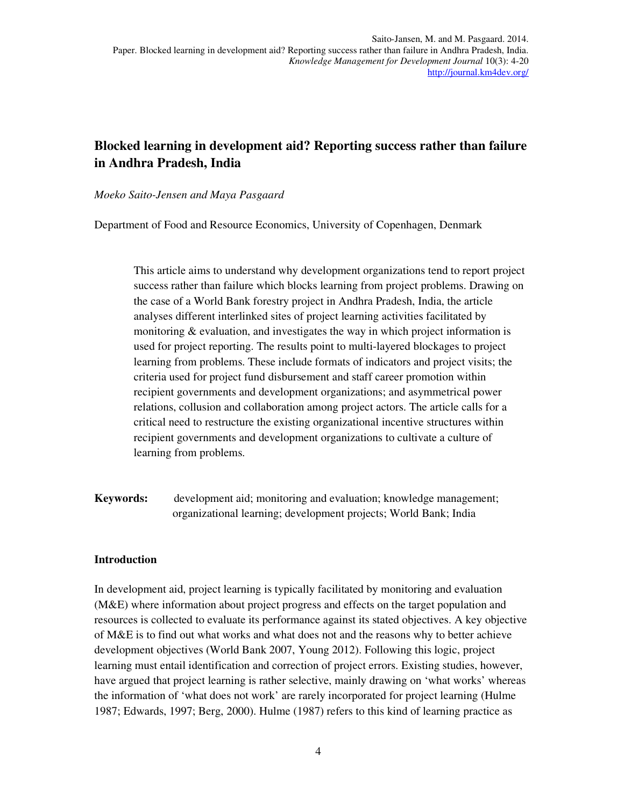# **Blocked learning in development aid? Reporting success rather than failure in Andhra Pradesh, India**

#### *Moeko Saito-Jensen and Maya Pasgaard*

Department of Food and Resource Economics, University of Copenhagen, Denmark

This article aims to understand why development organizations tend to report project success rather than failure which blocks learning from project problems. Drawing on the case of a World Bank forestry project in Andhra Pradesh, India, the article analyses different interlinked sites of project learning activities facilitated by monitoring & evaluation, and investigates the way in which project information is used for project reporting. The results point to multi-layered blockages to project learning from problems. These include formats of indicators and project visits; the criteria used for project fund disbursement and staff career promotion within recipient governments and development organizations; and asymmetrical power relations, collusion and collaboration among project actors. The article calls for a critical need to restructure the existing organizational incentive structures within recipient governments and development organizations to cultivate a culture of learning from problems.

**Keywords:** development aid; monitoring and evaluation; knowledge management; organizational learning; development projects; World Bank; India

#### **Introduction**

In development aid, project learning is typically facilitated by monitoring and evaluation (M&E) where information about project progress and effects on the target population and resources is collected to evaluate its performance against its stated objectives. A key objective of M&E is to find out what works and what does not and the reasons why to better achieve development objectives (World Bank 2007, Young 2012). Following this logic, project learning must entail identification and correction of project errors. Existing studies, however, have argued that project learning is rather selective, mainly drawing on 'what works' whereas the information of 'what does not work' are rarely incorporated for project learning (Hulme 1987; Edwards, 1997; Berg, 2000). Hulme (1987) refers to this kind of learning practice as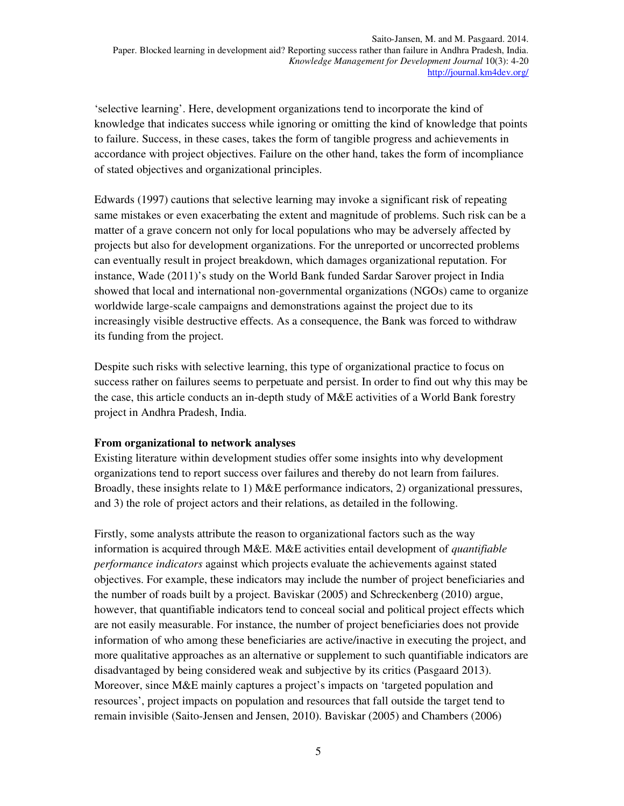'selective learning'. Here, development organizations tend to incorporate the kind of knowledge that indicates success while ignoring or omitting the kind of knowledge that points to failure. Success, in these cases, takes the form of tangible progress and achievements in accordance with project objectives. Failure on the other hand, takes the form of incompliance of stated objectives and organizational principles.

Edwards (1997) cautions that selective learning may invoke a significant risk of repeating same mistakes or even exacerbating the extent and magnitude of problems. Such risk can be a matter of a grave concern not only for local populations who may be adversely affected by projects but also for development organizations. For the unreported or uncorrected problems can eventually result in project breakdown, which damages organizational reputation. For instance, Wade (2011)'s study on the World Bank funded Sardar Sarover project in India showed that local and international non-governmental organizations (NGOs) came to organize worldwide large-scale campaigns and demonstrations against the project due to its increasingly visible destructive effects. As a consequence, the Bank was forced to withdraw its funding from the project.

Despite such risks with selective learning, this type of organizational practice to focus on success rather on failures seems to perpetuate and persist. In order to find out why this may be the case, this article conducts an in-depth study of M&E activities of a World Bank forestry project in Andhra Pradesh, India.

# **From organizational to network analyses**

Existing literature within development studies offer some insights into why development organizations tend to report success over failures and thereby do not learn from failures. Broadly, these insights relate to 1) M&E performance indicators, 2) organizational pressures, and 3) the role of project actors and their relations, as detailed in the following.

Firstly, some analysts attribute the reason to organizational factors such as the way information is acquired through M&E. M&E activities entail development of *quantifiable performance indicators* against which projects evaluate the achievements against stated objectives. For example, these indicators may include the number of project beneficiaries and the number of roads built by a project. Baviskar (2005) and Schreckenberg (2010) argue, however, that quantifiable indicators tend to conceal social and political project effects which are not easily measurable. For instance, the number of project beneficiaries does not provide information of who among these beneficiaries are active/inactive in executing the project, and more qualitative approaches as an alternative or supplement to such quantifiable indicators are disadvantaged by being considered weak and subjective by its critics (Pasgaard 2013). Moreover, since M&E mainly captures a project's impacts on 'targeted population and resources', project impacts on population and resources that fall outside the target tend to remain invisible (Saito-Jensen and Jensen, 2010). Baviskar (2005) and Chambers (2006)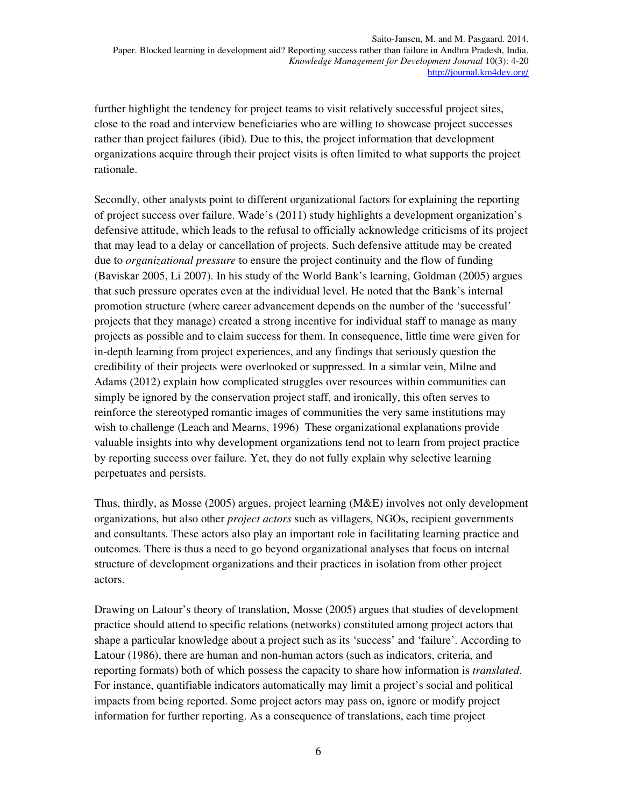further highlight the tendency for project teams to visit relatively successful project sites, close to the road and interview beneficiaries who are willing to showcase project successes rather than project failures (ibid). Due to this, the project information that development organizations acquire through their project visits is often limited to what supports the project rationale.

Secondly, other analysts point to different organizational factors for explaining the reporting of project success over failure. Wade's (2011) study highlights a development organization's defensive attitude, which leads to the refusal to officially acknowledge criticisms of its project that may lead to a delay or cancellation of projects. Such defensive attitude may be created due to *organizational pressure* to ensure the project continuity and the flow of funding (Baviskar 2005, Li 2007). In his study of the World Bank's learning, Goldman (2005) argues that such pressure operates even at the individual level. He noted that the Bank's internal promotion structure (where career advancement depends on the number of the 'successful' projects that they manage) created a strong incentive for individual staff to manage as many projects as possible and to claim success for them. In consequence, little time were given for in-depth learning from project experiences, and any findings that seriously question the credibility of their projects were overlooked or suppressed. In a similar vein, Milne and Adams (2012) explain how complicated struggles over resources within communities can simply be ignored by the conservation project staff, and ironically, this often serves to reinforce the stereotyped romantic images of communities the very same institutions may wish to challenge (Leach and Mearns, 1996) These organizational explanations provide valuable insights into why development organizations tend not to learn from project practice by reporting success over failure. Yet, they do not fully explain why selective learning perpetuates and persists.

Thus, thirdly, as Mosse (2005) argues, project learning (M&E) involves not only development organizations, but also other *project actors* such as villagers, NGOs, recipient governments and consultants. These actors also play an important role in facilitating learning practice and outcomes. There is thus a need to go beyond organizational analyses that focus on internal structure of development organizations and their practices in isolation from other project actors.

Drawing on Latour's theory of translation, Mosse (2005) argues that studies of development practice should attend to specific relations (networks) constituted among project actors that shape a particular knowledge about a project such as its 'success' and 'failure'. According to Latour (1986), there are human and non-human actors (such as indicators, criteria, and reporting formats) both of which possess the capacity to share how information is *translated*. For instance, quantifiable indicators automatically may limit a project's social and political impacts from being reported. Some project actors may pass on, ignore or modify project information for further reporting. As a consequence of translations, each time project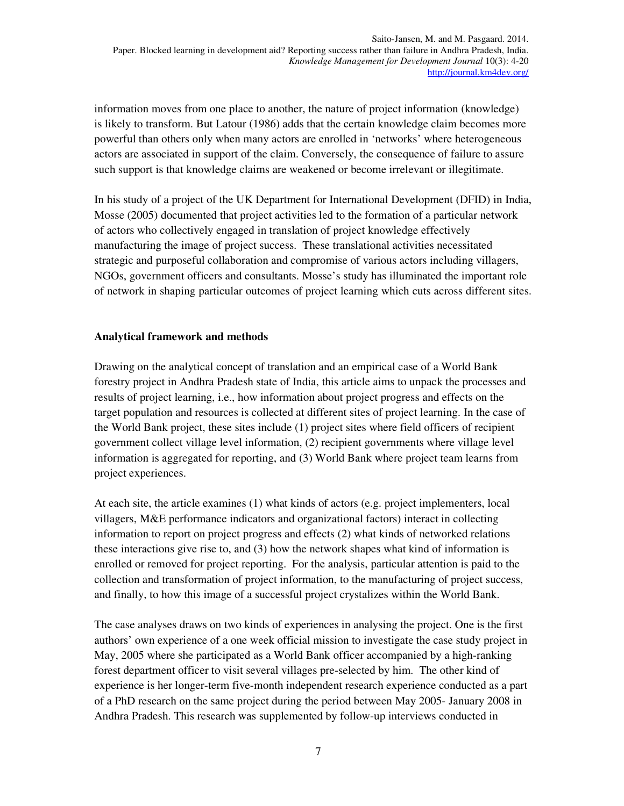information moves from one place to another, the nature of project information (knowledge) is likely to transform. But Latour (1986) adds that the certain knowledge claim becomes more powerful than others only when many actors are enrolled in 'networks' where heterogeneous actors are associated in support of the claim. Conversely, the consequence of failure to assure such support is that knowledge claims are weakened or become irrelevant or illegitimate.

In his study of a project of the UK Department for International Development (DFID) in India, Mosse (2005) documented that project activities led to the formation of a particular network of actors who collectively engaged in translation of project knowledge effectively manufacturing the image of project success. These translational activities necessitated strategic and purposeful collaboration and compromise of various actors including villagers, NGOs, government officers and consultants. Mosse's study has illuminated the important role of network in shaping particular outcomes of project learning which cuts across different sites.

### **Analytical framework and methods**

Drawing on the analytical concept of translation and an empirical case of a World Bank forestry project in Andhra Pradesh state of India, this article aims to unpack the processes and results of project learning, i.e., how information about project progress and effects on the target population and resources is collected at different sites of project learning. In the case of the World Bank project, these sites include (1) project sites where field officers of recipient government collect village level information, (2) recipient governments where village level information is aggregated for reporting, and (3) World Bank where project team learns from project experiences.

At each site, the article examines (1) what kinds of actors (e.g. project implementers, local villagers, M&E performance indicators and organizational factors) interact in collecting information to report on project progress and effects (2) what kinds of networked relations these interactions give rise to, and (3) how the network shapes what kind of information is enrolled or removed for project reporting. For the analysis, particular attention is paid to the collection and transformation of project information, to the manufacturing of project success, and finally, to how this image of a successful project crystalizes within the World Bank.

The case analyses draws on two kinds of experiences in analysing the project. One is the first authors' own experience of a one week official mission to investigate the case study project in May, 2005 where she participated as a World Bank officer accompanied by a high-ranking forest department officer to visit several villages pre-selected by him. The other kind of experience is her longer-term five-month independent research experience conducted as a part of a PhD research on the same project during the period between May 2005- January 2008 in Andhra Pradesh. This research was supplemented by follow-up interviews conducted in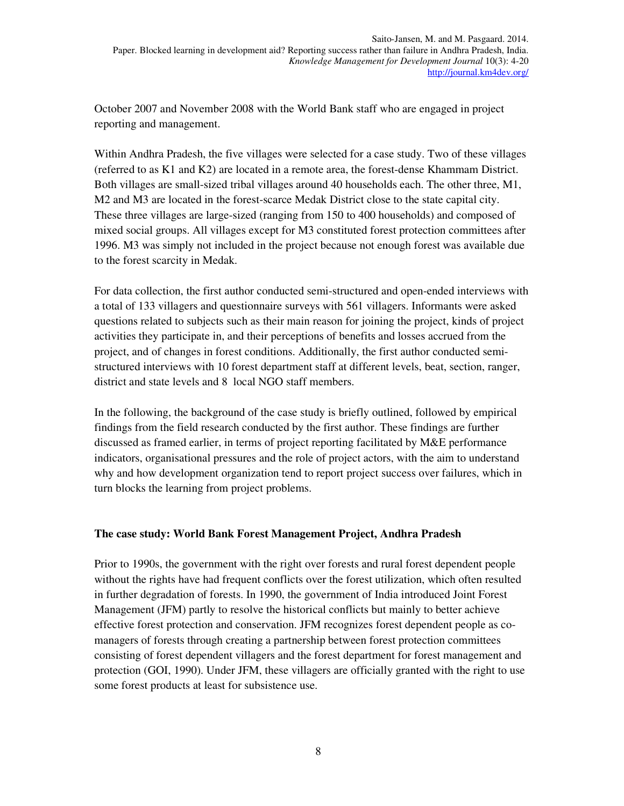October 2007 and November 2008 with the World Bank staff who are engaged in project reporting and management.

Within Andhra Pradesh, the five villages were selected for a case study. Two of these villages (referred to as K1 and K2) are located in a remote area, the forest-dense Khammam District. Both villages are small-sized tribal villages around 40 households each. The other three, M1, M2 and M3 are located in the forest-scarce Medak District close to the state capital city. These three villages are large-sized (ranging from 150 to 400 households) and composed of mixed social groups. All villages except for M3 constituted forest protection committees after 1996. M3 was simply not included in the project because not enough forest was available due to the forest scarcity in Medak.

For data collection, the first author conducted semi-structured and open-ended interviews with a total of 133 villagers and questionnaire surveys with 561 villagers. Informants were asked questions related to subjects such as their main reason for joining the project, kinds of project activities they participate in, and their perceptions of benefits and losses accrued from the project, and of changes in forest conditions. Additionally, the first author conducted semistructured interviews with 10 forest department staff at different levels, beat, section, ranger, district and state levels and 8 local NGO staff members.

In the following, the background of the case study is briefly outlined, followed by empirical findings from the field research conducted by the first author. These findings are further discussed as framed earlier, in terms of project reporting facilitated by M&E performance indicators, organisational pressures and the role of project actors, with the aim to understand why and how development organization tend to report project success over failures, which in turn blocks the learning from project problems.

# **The case study: World Bank Forest Management Project, Andhra Pradesh**

Prior to 1990s, the government with the right over forests and rural forest dependent people without the rights have had frequent conflicts over the forest utilization, which often resulted in further degradation of forests. In 1990, the government of India introduced Joint Forest Management (JFM) partly to resolve the historical conflicts but mainly to better achieve effective forest protection and conservation. JFM recognizes forest dependent people as comanagers of forests through creating a partnership between forest protection committees consisting of forest dependent villagers and the forest department for forest management and protection (GOI, 1990). Under JFM, these villagers are officially granted with the right to use some forest products at least for subsistence use.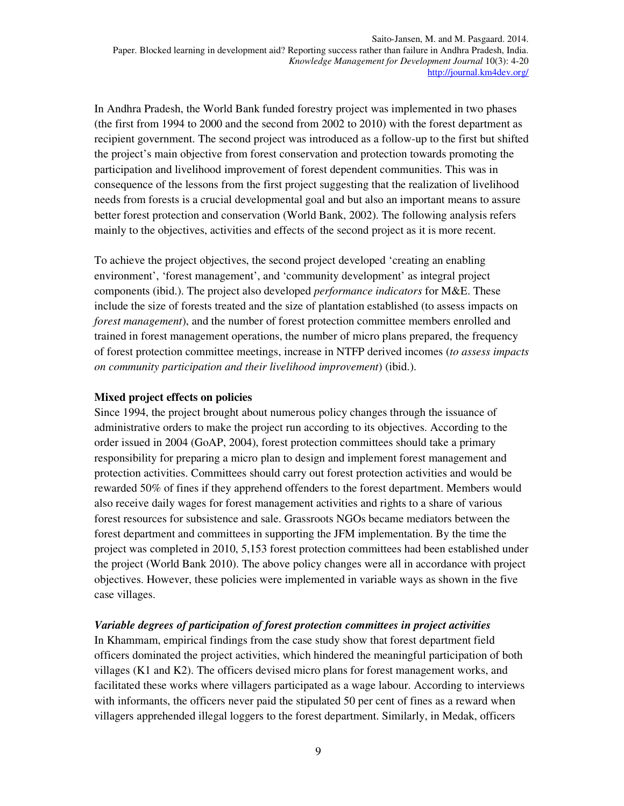In Andhra Pradesh, the World Bank funded forestry project was implemented in two phases (the first from 1994 to 2000 and the second from 2002 to 2010) with the forest department as recipient government. The second project was introduced as a follow-up to the first but shifted the project's main objective from forest conservation and protection towards promoting the participation and livelihood improvement of forest dependent communities. This was in consequence of the lessons from the first project suggesting that the realization of livelihood needs from forests is a crucial developmental goal and but also an important means to assure better forest protection and conservation (World Bank, 2002). The following analysis refers mainly to the objectives, activities and effects of the second project as it is more recent.

To achieve the project objectives, the second project developed 'creating an enabling environment', 'forest management', and 'community development' as integral project components (ibid.). The project also developed *performance indicators* for M&E. These include the size of forests treated and the size of plantation established (to assess impacts on *forest management*), and the number of forest protection committee members enrolled and trained in forest management operations, the number of micro plans prepared, the frequency of forest protection committee meetings, increase in NTFP derived incomes (*to assess impacts on community participation and their livelihood improvement*) (ibid.).

## **Mixed project effects on policies**

Since 1994, the project brought about numerous policy changes through the issuance of administrative orders to make the project run according to its objectives. According to the order issued in 2004 (GoAP, 2004), forest protection committees should take a primary responsibility for preparing a micro plan to design and implement forest management and protection activities. Committees should carry out forest protection activities and would be rewarded 50% of fines if they apprehend offenders to the forest department. Members would also receive daily wages for forest management activities and rights to a share of various forest resources for subsistence and sale. Grassroots NGOs became mediators between the forest department and committees in supporting the JFM implementation. By the time the project was completed in 2010, 5,153 forest protection committees had been established under the project (World Bank 2010). The above policy changes were all in accordance with project objectives. However, these policies were implemented in variable ways as shown in the five case villages.

# *Variable degrees of participation of forest protection committees in project activities*

In Khammam, empirical findings from the case study show that forest department field officers dominated the project activities, which hindered the meaningful participation of both villages (K1 and K2). The officers devised micro plans for forest management works, and facilitated these works where villagers participated as a wage labour. According to interviews with informants, the officers never paid the stipulated 50 per cent of fines as a reward when villagers apprehended illegal loggers to the forest department. Similarly, in Medak, officers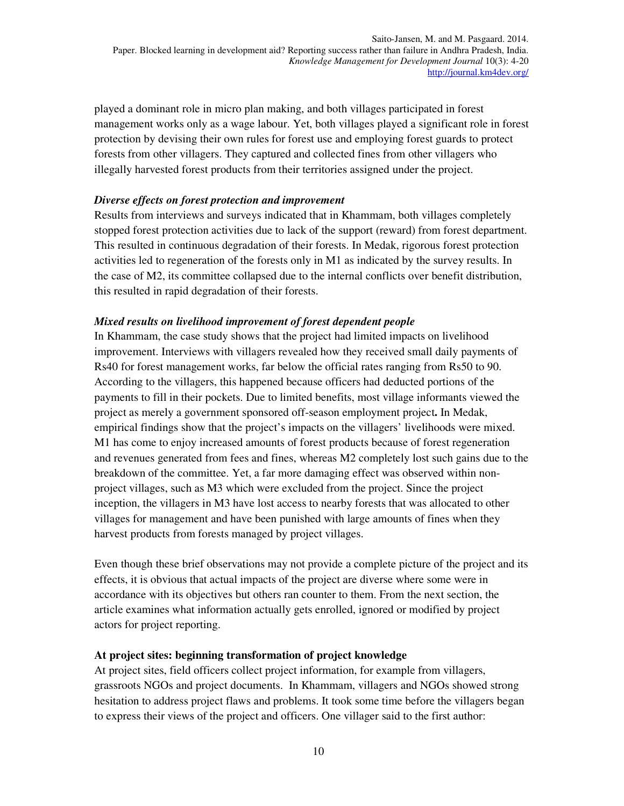played a dominant role in micro plan making, and both villages participated in forest management works only as a wage labour. Yet, both villages played a significant role in forest protection by devising their own rules for forest use and employing forest guards to protect forests from other villagers. They captured and collected fines from other villagers who illegally harvested forest products from their territories assigned under the project.

# *Diverse effects on forest protection and improvement*

Results from interviews and surveys indicated that in Khammam, both villages completely stopped forest protection activities due to lack of the support (reward) from forest department. This resulted in continuous degradation of their forests. In Medak, rigorous forest protection activities led to regeneration of the forests only in M1 as indicated by the survey results. In the case of M2, its committee collapsed due to the internal conflicts over benefit distribution, this resulted in rapid degradation of their forests.

# *Mixed results on livelihood improvement of forest dependent people*

In Khammam, the case study shows that the project had limited impacts on livelihood improvement. Interviews with villagers revealed how they received small daily payments of Rs40 for forest management works, far below the official rates ranging from Rs50 to 90. According to the villagers, this happened because officers had deducted portions of the payments to fill in their pockets. Due to limited benefits, most village informants viewed the project as merely a government sponsored off-season employment project**.** In Medak, empirical findings show that the project's impacts on the villagers' livelihoods were mixed. M1 has come to enjoy increased amounts of forest products because of forest regeneration and revenues generated from fees and fines, whereas M2 completely lost such gains due to the breakdown of the committee. Yet, a far more damaging effect was observed within nonproject villages, such as M3 which were excluded from the project. Since the project inception, the villagers in M3 have lost access to nearby forests that was allocated to other villages for management and have been punished with large amounts of fines when they harvest products from forests managed by project villages.

Even though these brief observations may not provide a complete picture of the project and its effects, it is obvious that actual impacts of the project are diverse where some were in accordance with its objectives but others ran counter to them. From the next section, the article examines what information actually gets enrolled, ignored or modified by project actors for project reporting.

# **At project sites: beginning transformation of project knowledge**

At project sites, field officers collect project information, for example from villagers, grassroots NGOs and project documents. In Khammam, villagers and NGOs showed strong hesitation to address project flaws and problems. It took some time before the villagers began to express their views of the project and officers. One villager said to the first author: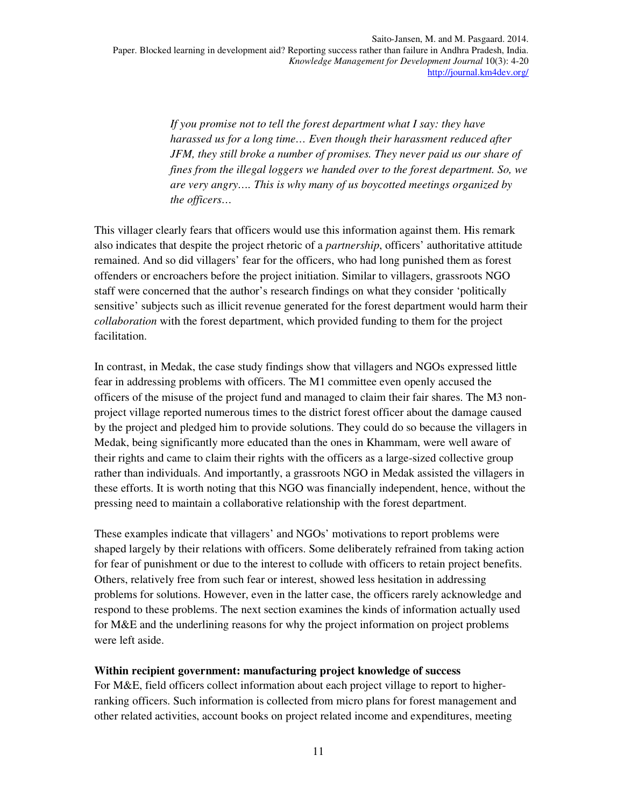*If you promise not to tell the forest department what I say: they have harassed us for a long time… Even though their harassment reduced after JFM, they still broke a number of promises. They never paid us our share of fines from the illegal loggers we handed over to the forest department. So, we are very angry…. This is why many of us boycotted meetings organized by the officers…* 

This villager clearly fears that officers would use this information against them. His remark also indicates that despite the project rhetoric of a *partnership*, officers' authoritative attitude remained. And so did villagers' fear for the officers, who had long punished them as forest offenders or encroachers before the project initiation. Similar to villagers, grassroots NGO staff were concerned that the author's research findings on what they consider 'politically sensitive' subjects such as illicit revenue generated for the forest department would harm their *collaboration* with the forest department, which provided funding to them for the project facilitation.

In contrast, in Medak, the case study findings show that villagers and NGOs expressed little fear in addressing problems with officers. The M1 committee even openly accused the officers of the misuse of the project fund and managed to claim their fair shares. The M3 nonproject village reported numerous times to the district forest officer about the damage caused by the project and pledged him to provide solutions. They could do so because the villagers in Medak, being significantly more educated than the ones in Khammam, were well aware of their rights and came to claim their rights with the officers as a large-sized collective group rather than individuals. And importantly, a grassroots NGO in Medak assisted the villagers in these efforts. It is worth noting that this NGO was financially independent, hence, without the pressing need to maintain a collaborative relationship with the forest department.

These examples indicate that villagers' and NGOs' motivations to report problems were shaped largely by their relations with officers. Some deliberately refrained from taking action for fear of punishment or due to the interest to collude with officers to retain project benefits. Others, relatively free from such fear or interest, showed less hesitation in addressing problems for solutions. However, even in the latter case, the officers rarely acknowledge and respond to these problems. The next section examines the kinds of information actually used for M&E and the underlining reasons for why the project information on project problems were left aside.

### **Within recipient government: manufacturing project knowledge of success**

For M&E, field officers collect information about each project village to report to higherranking officers. Such information is collected from micro plans for forest management and other related activities, account books on project related income and expenditures, meeting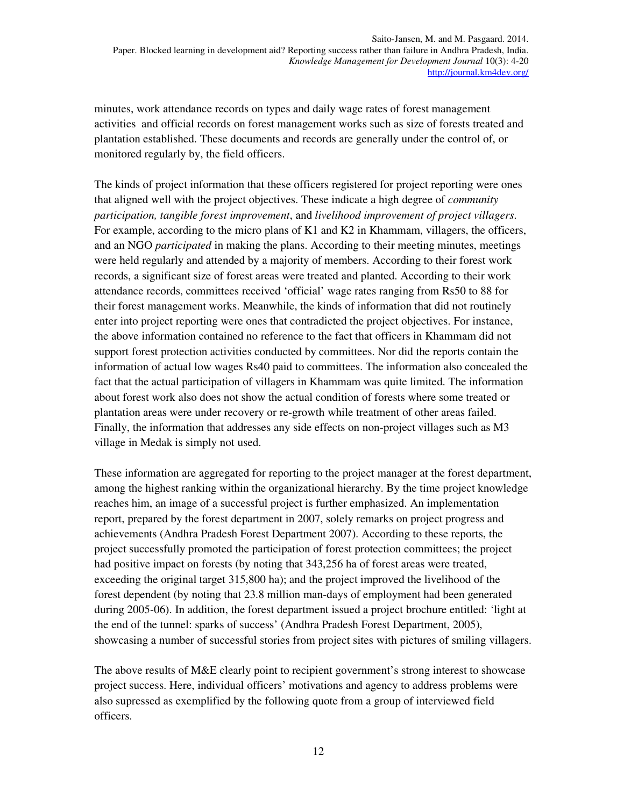minutes, work attendance records on types and daily wage rates of forest management activities and official records on forest management works such as size of forests treated and plantation established. These documents and records are generally under the control of, or monitored regularly by, the field officers.

The kinds of project information that these officers registered for project reporting were ones that aligned well with the project objectives. These indicate a high degree of *community participation, tangible forest improvement*, and *livelihood improvement of project villagers*. For example, according to the micro plans of K1 and K2 in Khammam, villagers, the officers, and an NGO *participated* in making the plans. According to their meeting minutes, meetings were held regularly and attended by a majority of members. According to their forest work records, a significant size of forest areas were treated and planted. According to their work attendance records, committees received 'official' wage rates ranging from Rs50 to 88 for their forest management works. Meanwhile, the kinds of information that did not routinely enter into project reporting were ones that contradicted the project objectives. For instance, the above information contained no reference to the fact that officers in Khammam did not support forest protection activities conducted by committees. Nor did the reports contain the information of actual low wages Rs40 paid to committees. The information also concealed the fact that the actual participation of villagers in Khammam was quite limited. The information about forest work also does not show the actual condition of forests where some treated or plantation areas were under recovery or re-growth while treatment of other areas failed. Finally, the information that addresses any side effects on non-project villages such as M3 village in Medak is simply not used.

These information are aggregated for reporting to the project manager at the forest department, among the highest ranking within the organizational hierarchy. By the time project knowledge reaches him, an image of a successful project is further emphasized. An implementation report, prepared by the forest department in 2007, solely remarks on project progress and achievements (Andhra Pradesh Forest Department 2007). According to these reports, the project successfully promoted the participation of forest protection committees; the project had positive impact on forests (by noting that 343,256 ha of forest areas were treated, exceeding the original target 315,800 ha); and the project improved the livelihood of the forest dependent (by noting that 23.8 million man-days of employment had been generated during 2005-06). In addition, the forest department issued a project brochure entitled: 'light at the end of the tunnel: sparks of success' (Andhra Pradesh Forest Department, 2005), showcasing a number of successful stories from project sites with pictures of smiling villagers.

The above results of M&E clearly point to recipient government's strong interest to showcase project success. Here, individual officers' motivations and agency to address problems were also supressed as exemplified by the following quote from a group of interviewed field officers.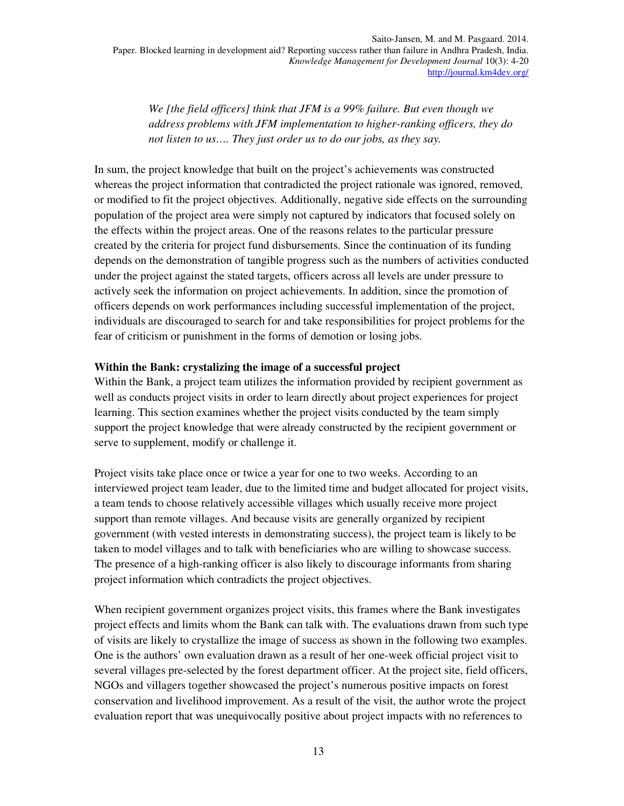*We [the field officers] think that JFM is a 99% failure. But even though we address problems with JFM implementation to higher-ranking officers, they do not listen to us…. They just order us to do our jobs, as they say.* 

In sum, the project knowledge that built on the project's achievements was constructed whereas the project information that contradicted the project rationale was ignored, removed, or modified to fit the project objectives. Additionally, negative side effects on the surrounding population of the project area were simply not captured by indicators that focused solely on the effects within the project areas. One of the reasons relates to the particular pressure created by the criteria for project fund disbursements. Since the continuation of its funding depends on the demonstration of tangible progress such as the numbers of activities conducted under the project against the stated targets, officers across all levels are under pressure to actively seek the information on project achievements. In addition, since the promotion of officers depends on work performances including successful implementation of the project, individuals are discouraged to search for and take responsibilities for project problems for the fear of criticism or punishment in the forms of demotion or losing jobs.

### **Within the Bank: crystalizing the image of a successful project**

Within the Bank, a project team utilizes the information provided by recipient government as well as conducts project visits in order to learn directly about project experiences for project learning. This section examines whether the project visits conducted by the team simply support the project knowledge that were already constructed by the recipient government or serve to supplement, modify or challenge it.

Project visits take place once or twice a year for one to two weeks. According to an interviewed project team leader, due to the limited time and budget allocated for project visits, a team tends to choose relatively accessible villages which usually receive more project support than remote villages. And because visits are generally organized by recipient government (with vested interests in demonstrating success), the project team is likely to be taken to model villages and to talk with beneficiaries who are willing to showcase success. The presence of a high-ranking officer is also likely to discourage informants from sharing project information which contradicts the project objectives.

When recipient government organizes project visits, this frames where the Bank investigates project effects and limits whom the Bank can talk with. The evaluations drawn from such type of visits are likely to crystallize the image of success as shown in the following two examples. One is the authors' own evaluation drawn as a result of her one-week official project visit to several villages pre-selected by the forest department officer. At the project site, field officers, NGOs and villagers together showcased the project's numerous positive impacts on forest conservation and livelihood improvement. As a result of the visit, the author wrote the project evaluation report that was unequivocally positive about project impacts with no references to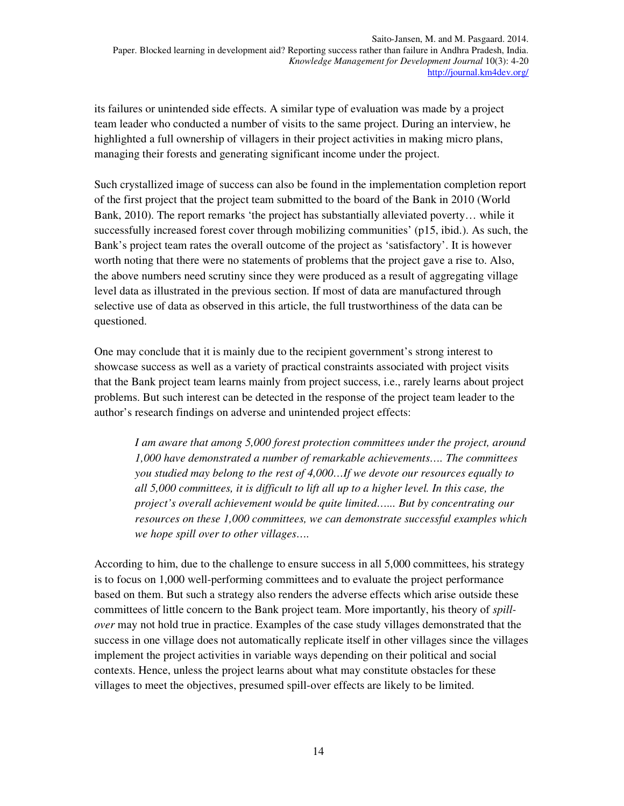its failures or unintended side effects. A similar type of evaluation was made by a project team leader who conducted a number of visits to the same project. During an interview, he highlighted a full ownership of villagers in their project activities in making micro plans, managing their forests and generating significant income under the project.

Such crystallized image of success can also be found in the implementation completion report of the first project that the project team submitted to the board of the Bank in 2010 (World Bank, 2010). The report remarks 'the project has substantially alleviated poverty… while it successfully increased forest cover through mobilizing communities' (p15, ibid.). As such, the Bank's project team rates the overall outcome of the project as 'satisfactory'. It is however worth noting that there were no statements of problems that the project gave a rise to. Also, the above numbers need scrutiny since they were produced as a result of aggregating village level data as illustrated in the previous section. If most of data are manufactured through selective use of data as observed in this article, the full trustworthiness of the data can be questioned.

One may conclude that it is mainly due to the recipient government's strong interest to showcase success as well as a variety of practical constraints associated with project visits that the Bank project team learns mainly from project success, i.e., rarely learns about project problems. But such interest can be detected in the response of the project team leader to the author's research findings on adverse and unintended project effects:

*I am aware that among 5,000 forest protection committees under the project, around 1,000 have demonstrated a number of remarkable achievements…. The committees you studied may belong to the rest of 4,000…If we devote our resources equally to all 5,000 committees, it is difficult to lift all up to a higher level. In this case, the project's overall achievement would be quite limited…... But by concentrating our resources on these 1,000 committees, we can demonstrate successful examples which we hope spill over to other villages….* 

According to him, due to the challenge to ensure success in all 5,000 committees, his strategy is to focus on 1,000 well-performing committees and to evaluate the project performance based on them. But such a strategy also renders the adverse effects which arise outside these committees of little concern to the Bank project team. More importantly, his theory of *spillover* may not hold true in practice. Examples of the case study villages demonstrated that the success in one village does not automatically replicate itself in other villages since the villages implement the project activities in variable ways depending on their political and social contexts. Hence, unless the project learns about what may constitute obstacles for these villages to meet the objectives, presumed spill-over effects are likely to be limited.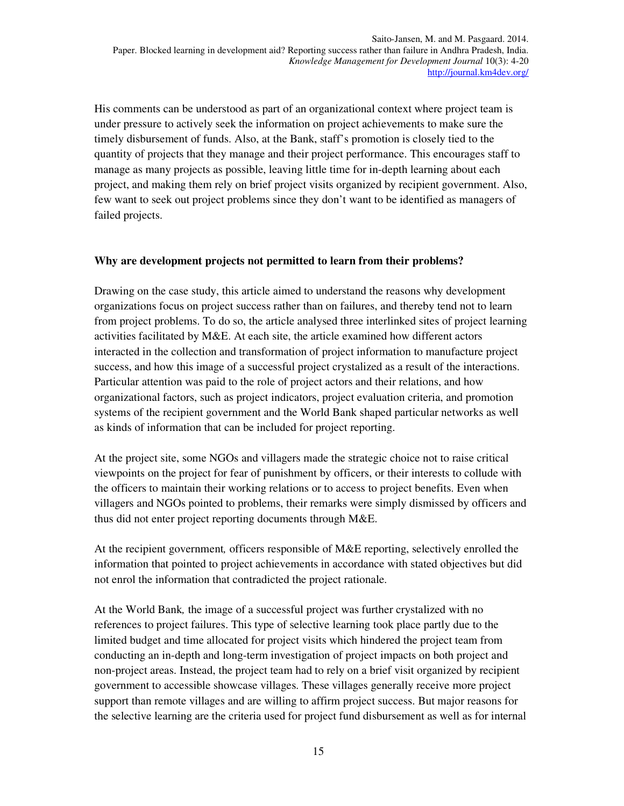His comments can be understood as part of an organizational context where project team is under pressure to actively seek the information on project achievements to make sure the timely disbursement of funds. Also, at the Bank, staff's promotion is closely tied to the quantity of projects that they manage and their project performance. This encourages staff to manage as many projects as possible, leaving little time for in-depth learning about each project, and making them rely on brief project visits organized by recipient government. Also, few want to seek out project problems since they don't want to be identified as managers of failed projects.

### **Why are development projects not permitted to learn from their problems?**

Drawing on the case study, this article aimed to understand the reasons why development organizations focus on project success rather than on failures, and thereby tend not to learn from project problems. To do so, the article analysed three interlinked sites of project learning activities facilitated by M&E. At each site, the article examined how different actors interacted in the collection and transformation of project information to manufacture project success, and how this image of a successful project crystalized as a result of the interactions. Particular attention was paid to the role of project actors and their relations, and how organizational factors, such as project indicators, project evaluation criteria, and promotion systems of the recipient government and the World Bank shaped particular networks as well as kinds of information that can be included for project reporting.

At the project site, some NGOs and villagers made the strategic choice not to raise critical viewpoints on the project for fear of punishment by officers, or their interests to collude with the officers to maintain their working relations or to access to project benefits. Even when villagers and NGOs pointed to problems, their remarks were simply dismissed by officers and thus did not enter project reporting documents through M&E.

At the recipient government*,* officers responsible of M&E reporting, selectively enrolled the information that pointed to project achievements in accordance with stated objectives but did not enrol the information that contradicted the project rationale.

At the World Bank*,* the image of a successful project was further crystalized with no references to project failures. This type of selective learning took place partly due to the limited budget and time allocated for project visits which hindered the project team from conducting an in-depth and long-term investigation of project impacts on both project and non-project areas. Instead, the project team had to rely on a brief visit organized by recipient government to accessible showcase villages. These villages generally receive more project support than remote villages and are willing to affirm project success. But major reasons for the selective learning are the criteria used for project fund disbursement as well as for internal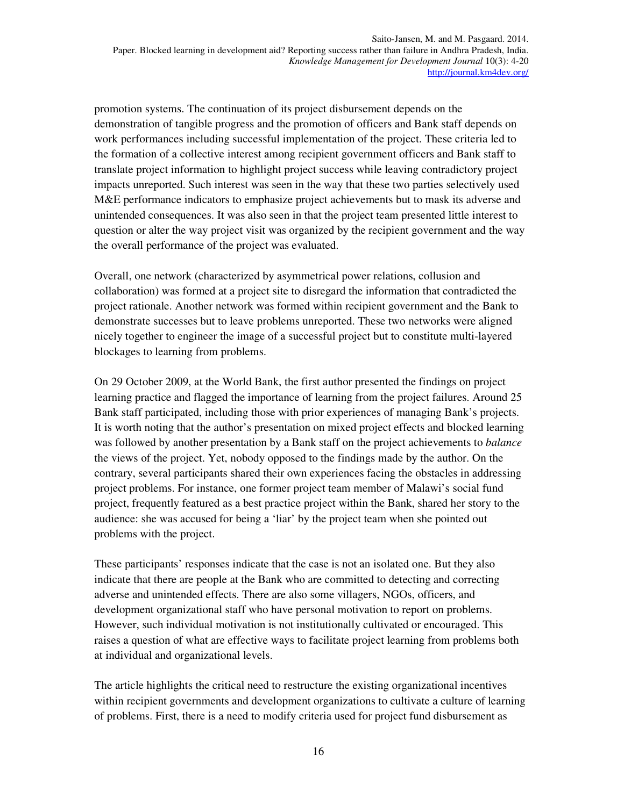promotion systems. The continuation of its project disbursement depends on the demonstration of tangible progress and the promotion of officers and Bank staff depends on work performances including successful implementation of the project. These criteria led to the formation of a collective interest among recipient government officers and Bank staff to translate project information to highlight project success while leaving contradictory project impacts unreported. Such interest was seen in the way that these two parties selectively used M&E performance indicators to emphasize project achievements but to mask its adverse and unintended consequences. It was also seen in that the project team presented little interest to question or alter the way project visit was organized by the recipient government and the way the overall performance of the project was evaluated.

Overall, one network (characterized by asymmetrical power relations, collusion and collaboration) was formed at a project site to disregard the information that contradicted the project rationale. Another network was formed within recipient government and the Bank to demonstrate successes but to leave problems unreported. These two networks were aligned nicely together to engineer the image of a successful project but to constitute multi-layered blockages to learning from problems.

On 29 October 2009, at the World Bank, the first author presented the findings on project learning practice and flagged the importance of learning from the project failures. Around 25 Bank staff participated, including those with prior experiences of managing Bank's projects. It is worth noting that the author's presentation on mixed project effects and blocked learning was followed by another presentation by a Bank staff on the project achievements to *balance* the views of the project. Yet, nobody opposed to the findings made by the author. On the contrary, several participants shared their own experiences facing the obstacles in addressing project problems. For instance, one former project team member of Malawi's social fund project, frequently featured as a best practice project within the Bank, shared her story to the audience: she was accused for being a 'liar' by the project team when she pointed out problems with the project.

These participants' responses indicate that the case is not an isolated one. But they also indicate that there are people at the Bank who are committed to detecting and correcting adverse and unintended effects. There are also some villagers, NGOs, officers, and development organizational staff who have personal motivation to report on problems. However, such individual motivation is not institutionally cultivated or encouraged. This raises a question of what are effective ways to facilitate project learning from problems both at individual and organizational levels.

The article highlights the critical need to restructure the existing organizational incentives within recipient governments and development organizations to cultivate a culture of learning of problems. First, there is a need to modify criteria used for project fund disbursement as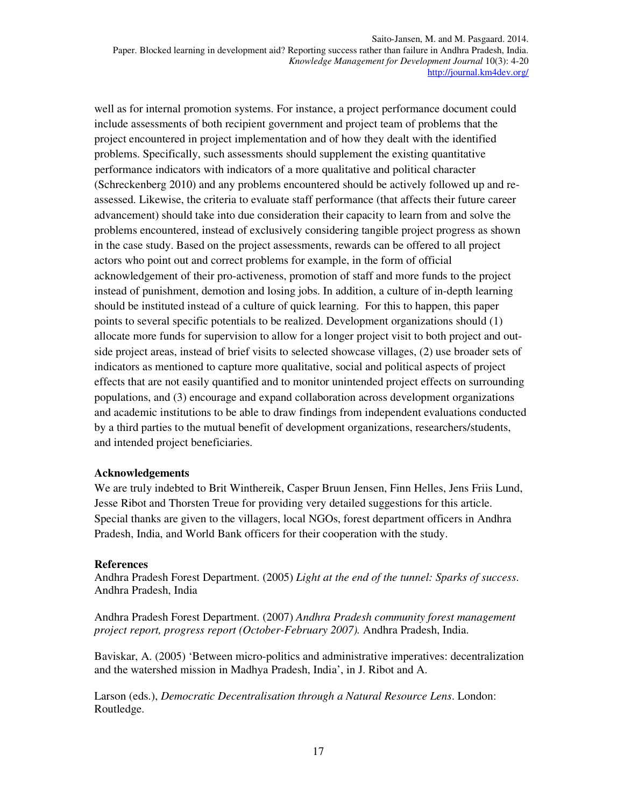well as for internal promotion systems. For instance, a project performance document could include assessments of both recipient government and project team of problems that the project encountered in project implementation and of how they dealt with the identified problems. Specifically, such assessments should supplement the existing quantitative performance indicators with indicators of a more qualitative and political character (Schreckenberg 2010) and any problems encountered should be actively followed up and reassessed. Likewise, the criteria to evaluate staff performance (that affects their future career advancement) should take into due consideration their capacity to learn from and solve the problems encountered, instead of exclusively considering tangible project progress as shown in the case study. Based on the project assessments, rewards can be offered to all project actors who point out and correct problems for example, in the form of official acknowledgement of their pro-activeness, promotion of staff and more funds to the project instead of punishment, demotion and losing jobs. In addition, a culture of in-depth learning should be instituted instead of a culture of quick learning. For this to happen, this paper points to several specific potentials to be realized. Development organizations should (1) allocate more funds for supervision to allow for a longer project visit to both project and outside project areas, instead of brief visits to selected showcase villages, (2) use broader sets of indicators as mentioned to capture more qualitative, social and political aspects of project effects that are not easily quantified and to monitor unintended project effects on surrounding populations, and (3) encourage and expand collaboration across development organizations and academic institutions to be able to draw findings from independent evaluations conducted by a third parties to the mutual benefit of development organizations, researchers/students, and intended project beneficiaries.

### **Acknowledgements**

We are truly indebted to Brit Winthereik, Casper Bruun Jensen, Finn Helles, Jens Friis Lund, Jesse Ribot and Thorsten Treue for providing very detailed suggestions for this article. Special thanks are given to the villagers, local NGOs, forest department officers in Andhra Pradesh, India, and World Bank officers for their cooperation with the study.

### **References**

 Andhra Pradesh Forest Department. (2005) *Light at the end of the tunnel: Sparks of success*. Andhra Pradesh, India

 Andhra Pradesh Forest Department. (2007) *Andhra Pradesh community forest management project report, progress report (October-February 2007).* Andhra Pradesh, India.

 Baviskar, A. (2005) 'Between micro-politics and administrative imperatives: decentralization and the watershed mission in Madhya Pradesh, India', in J. Ribot and A.

 Larson (eds.), *Democratic Decentralisation through a Natural Resource Lens*. London: Routledge.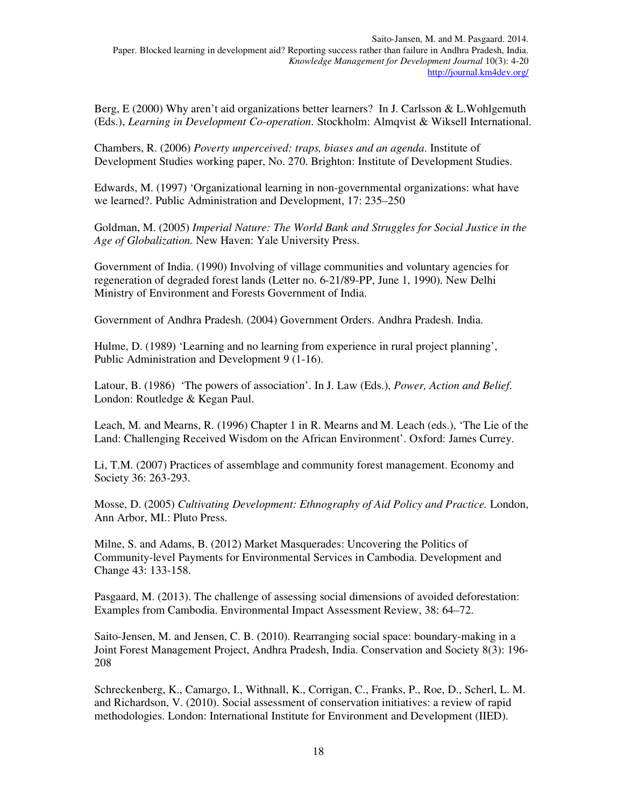Berg, E (2000) Why aren't aid organizations better learners? In J. Carlsson & L.Wohlgemuth (Eds.), *Learning in Development Co-operation*. Stockholm: Almqvist & Wiksell International.

 Chambers, R. (2006) *Poverty unperceived: traps, biases and an agenda*. Institute of Development Studies working paper, No. 270. Brighton: Institute of Development Studies.

 Edwards, M. (1997) 'Organizational learning in non-governmental organizations: what have we learned?. Public Administration and Development, 17: 235–250

 Goldman, M. (2005) *Imperial Nature: The World Bank and Struggles for Social Justice in the Age of Globalization.* New Haven: Yale University Press.

 Government of India. (1990) Involving of village communities and voluntary agencies for regeneration of degraded forest lands (Letter no. 6-21/89-PP, June 1, 1990). New Delhi Ministry of Environment and Forests Government of India.

Government of Andhra Pradesh. (2004) Government Orders. Andhra Pradesh. India.

 Hulme, D. (1989) 'Learning and no learning from experience in rural project planning', Public Administration and Development 9 (1-16).

 Latour, B. (1986) 'The powers of association'. In J. Law (Eds.), *Power, Action and Belief*. London: Routledge & Kegan Paul.

Leach, M. and Mearns, R. (1996) Chapter 1 in R. Mearns and M. Leach (eds.), 'The Lie of the Land: Challenging Received Wisdom on the African Environment'. Oxford: James Currey.

Li, T.M. (2007) Practices of assemblage and community forest management. Economy and Society 36: 263-293.

 Mosse, D. (2005) *Cultivating Development: Ethnography of Aid Policy and Practice.* London, Ann Arbor, MI.: Pluto Press.

Milne, S. and Adams, B. (2012) Market Masquerades: Uncovering the Politics of Community-level Payments for Environmental Services in Cambodia. Development and Change 43: 133-158.

Pasgaard, M. (2013). The challenge of assessing social dimensions of avoided deforestation: Examples from Cambodia. Environmental Impact Assessment Review, 38: 64–72.

 Saito-Jensen, M. and Jensen, C. B. (2010). Rearranging social space: boundary-making in a Joint Forest Management Project, Andhra Pradesh, India. Conservation and Society 8(3): 196- 208

 Schreckenberg, K., Camargo, I., Withnall, K., Corrigan, C., Franks, P., Roe, D., Scherl, L. M. and Richardson, V. (2010). Social assessment of conservation initiatives: a review of rapid methodologies. London: International Institute for Environment and Development (IIED).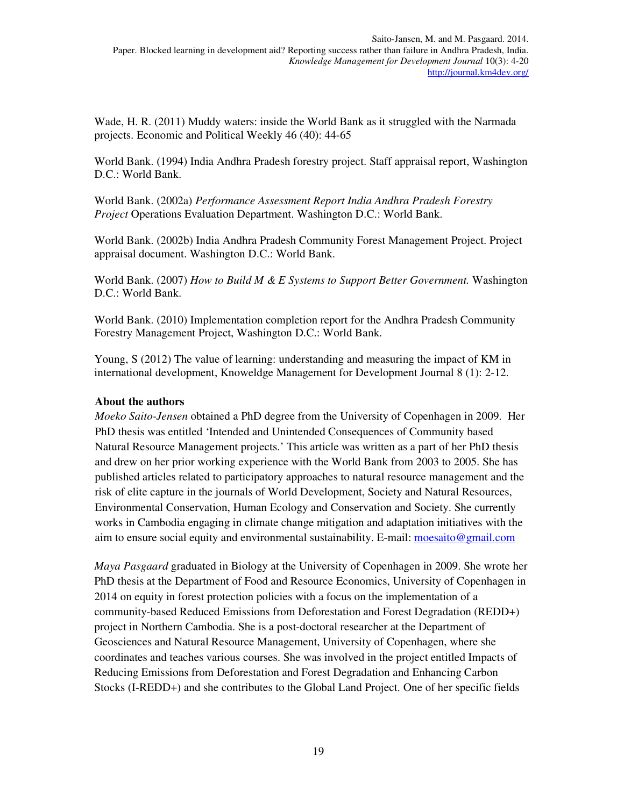Wade, H. R. (2011) Muddy waters: inside the World Bank as it struggled with the Narmada projects. Economic and Political Weekly 46 (40): 44-65

 World Bank. (1994) India Andhra Pradesh forestry project. Staff appraisal report, Washington D.C.: World Bank.

 World Bank. (2002a) *Performance Assessment Report India Andhra Pradesh Forestry Project* Operations Evaluation Department. Washington D.C.: World Bank.

 World Bank. (2002b) India Andhra Pradesh Community Forest Management Project. Project appraisal document. Washington D.C.: World Bank.

 World Bank. (2007) *How to Build M & E Systems to Support Better Government.* Washington D.C.: World Bank.

 World Bank. (2010) Implementation completion report for the Andhra Pradesh Community Forestry Management Project, Washington D.C.: World Bank.

 Young, S (2012) The value of learning: understanding and measuring the impact of KM in international development, Knoweldge Management for Development Journal 8 (1): 2-12.

### **About the authors**

*Moeko Saito-Jensen* obtained a PhD degree from the University of Copenhagen in 2009. Her PhD thesis was entitled 'Intended and Unintended Consequences of Community based Natural Resource Management projects.' This article was written as a part of her PhD thesis and drew on her prior working experience with the World Bank from 2003 to 2005. She has published articles related to participatory approaches to natural resource management and the risk of elite capture in the journals of World Development, Society and Natural Resources, Environmental Conservation, Human Ecology and Conservation and Society. She currently works in Cambodia engaging in climate change mitigation and adaptation initiatives with the aim to ensure social equity and environmental sustainability. E-mail: moesaito@gmail.com

*Maya Pasgaard* graduated in Biology at the University of Copenhagen in 2009. She wrote her PhD thesis at the Department of Food and Resource Economics, University of Copenhagen in 2014 on equity in forest protection policies with a focus on the implementation of a community-based Reduced Emissions from Deforestation and Forest Degradation (REDD+) project in Northern Cambodia. She is a post-doctoral researcher at the Department of Geosciences and Natural Resource Management, University of Copenhagen, where she coordinates and teaches various courses. She was involved in the project entitled Impacts of Reducing Emissions from Deforestation and Forest Degradation and Enhancing Carbon Stocks (I-REDD+) and she contributes to the Global Land Project. One of her specific fields